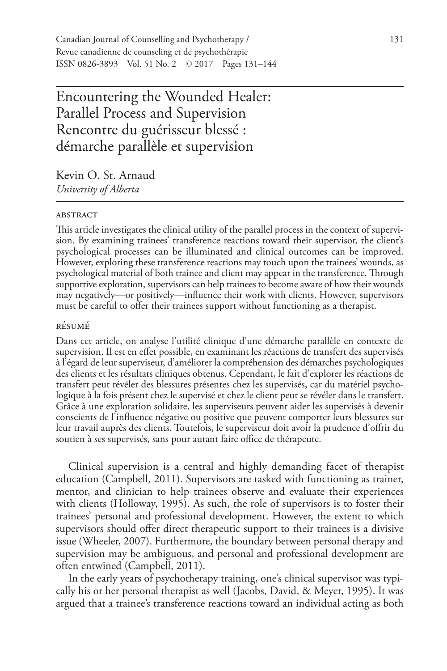Encountering the Wounded Healer: Parallel Process and Supervision Rencontre du guérisseur blessé : démarche parallèle et supervision

Kevin O. St. Arnaud *University of Alberta*

#### **ABSTRACT**

This article investigates the clinical utility of the parallel process in the context of supervision. By examining trainees' transference reactions toward their supervisor, the client's psychological processes can be illuminated and clinical outcomes can be improved. However, exploring these transference reactions may touch upon the trainees' wounds, as psychological material of both trainee and client may appear in the transference. Through supportive exploration, supervisors can help trainees to become aware of how their wounds may negatively—or positively—influence their work with clients. However, supervisors must be careful to offer their trainees support without functioning as a therapist.

## résumé

Dans cet article, on analyse l'utilité clinique d'une démarche parallèle en contexte de supervision. Il est en effet possible, en examinant les réactions de transfert des supervisés à l'égard de leur superviseur, d'améliorer la compréhension des démarches psychologiques des clients et les résultats cliniques obtenus. Cependant, le fait d'explorer les réactions de transfert peut révéler des blessures présentes chez les supervisés, car du matériel psychologique à la fois présent chez le supervisé et chez le client peut se révéler dans le transfert. Grâce à une exploration solidaire, les superviseurs peuvent aider les supervisés à devenir conscients de l'influence négative ou positive que peuvent comporter leurs blessures sur leur travail auprès des clients. Toutefois, le superviseur doit avoir la prudence d'offrir du soutien à ses supervisés, sans pour autant faire office de thérapeute.

Clinical supervision is a central and highly demanding facet of therapist education (Campbell, 2011). Supervisors are tasked with functioning as trainer, mentor, and clinician to help trainees observe and evaluate their experiences with clients (Holloway, 1995). As such, the role of supervisors is to foster their trainees' personal and professional development. However, the extent to which supervisors should offer direct therapeutic support to their trainees is a divisive issue (Wheeler, 2007). Furthermore, the boundary between personal therapy and supervision may be ambiguous, and personal and professional development are often entwined (Campbell, 2011).

In the early years of psychotherapy training, one's clinical supervisor was typically his or her personal therapist as well (Jacobs, David, & Meyer, 1995). It was argued that a trainee's transference reactions toward an individual acting as both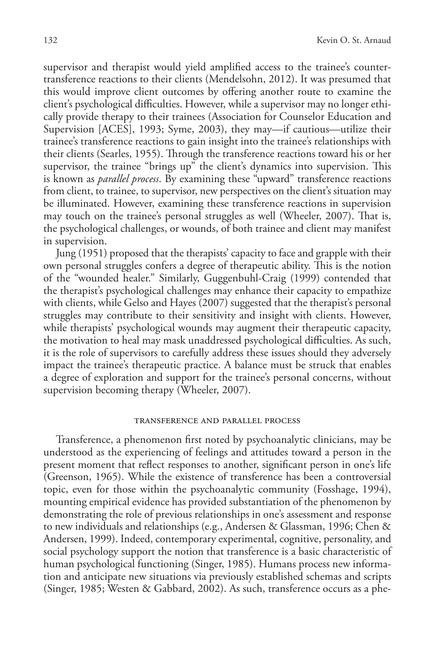supervisor and therapist would yield amplified access to the trainee's countertransference reactions to their clients (Mendelsohn, 2012). It was presumed that this would improve client outcomes by offering another route to examine the client's psychological difficulties. However, while a supervisor may no longer ethically provide therapy to their trainees (Association for Counselor Education and Supervision [ACES], 1993; Syme, 2003), they may—if cautious—utilize their trainee's transference reactions to gain insight into the trainee's relationships with their clients (Searles, 1955). Through the transference reactions toward his or her supervisor, the trainee "brings up" the client's dynamics into supervision. This is known as *parallel process*. By examining these "upward" transference reactions from client, to trainee, to supervisor, new perspectives on the client's situation may be illuminated. However, examining these transference reactions in supervision may touch on the trainee's personal struggles as well (Wheeler, 2007). That is, the psychological challenges, or wounds, of both trainee and client may manifest in supervision.

Jung (1951) proposed that the therapists' capacity to face and grapple with their own personal struggles confers a degree of therapeutic ability. This is the notion of the "wounded healer." Similarly, Guggenbuhl-Craig (1999) contended that the therapist's psychological challenges may enhance their capacity to empathize with clients, while Gelso and Hayes (2007) suggested that the therapist's personal struggles may contribute to their sensitivity and insight with clients. However, while therapists' psychological wounds may augment their therapeutic capacity, the motivation to heal may mask unaddressed psychological difficulties. As such, it is the role of supervisors to carefully address these issues should they adversely impact the trainee's therapeutic practice. A balance must be struck that enables a degree of exploration and support for the trainee's personal concerns, without supervision becoming therapy (Wheeler, 2007).

#### transference and parallel process

Transference, a phenomenon first noted by psychoanalytic clinicians, may be understood as the experiencing of feelings and attitudes toward a person in the present moment that reflect responses to another, significant person in one's life (Greenson, 1965). While the existence of transference has been a controversial topic, even for those within the psychoanalytic community (Fosshage, 1994), mounting empirical evidence has provided substantiation of the phenomenon by demonstrating the role of previous relationships in one's assessment and response to new individuals and relationships (e.g., Andersen & Glassman, 1996; Chen & Andersen, 1999). Indeed, contemporary experimental, cognitive, personality, and social psychology support the notion that transference is a basic characteristic of human psychological functioning (Singer, 1985). Humans process new information and anticipate new situations via previously established schemas and scripts (Singer, 1985; Westen & Gabbard, 2002). As such, transference occurs as a phe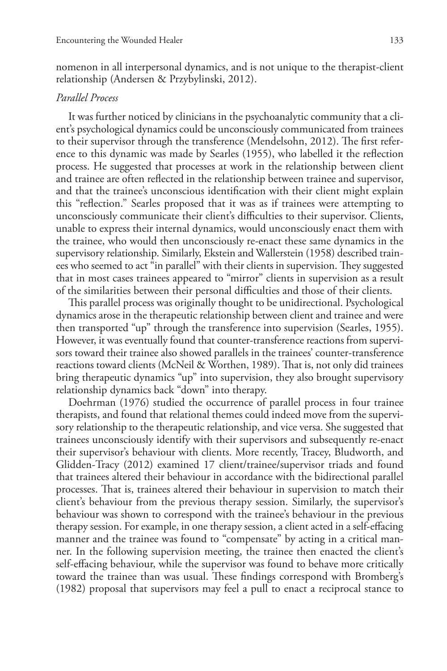nomenon in all interpersonal dynamics, and is not unique to the therapist-client relationship (Andersen & Przybylinski, 2012).

# *Parallel Process*

It was further noticed by clinicians in the psychoanalytic community that a client's psychological dynamics could be unconsciously communicated from trainees to their supervisor through the transference (Mendelsohn, 2012). The first reference to this dynamic was made by Searles (1955), who labelled it the reflection process. He suggested that processes at work in the relationship between client and trainee are often reflected in the relationship between trainee and supervisor, and that the trainee's unconscious identification with their client might explain this "reflection." Searles proposed that it was as if trainees were attempting to unconsciously communicate their client's difficulties to their supervisor. Clients, unable to express their internal dynamics, would unconsciously enact them with the trainee, who would then unconsciously re-enact these same dynamics in the supervisory relationship. Similarly, Ekstein and Wallerstein (1958) described trainees who seemed to act "in parallel" with their clients in supervision. They suggested that in most cases trainees appeared to "mirror" clients in supervision as a result of the similarities between their personal difficulties and those of their clients.

This parallel process was originally thought to be unidirectional. Psychological dynamics arose in the therapeutic relationship between client and trainee and were then transported "up" through the transference into supervision (Searles, 1955). However, it was eventually found that counter-transference reactions from supervisors toward their trainee also showed parallels in the trainees' counter-transference reactions toward clients (McNeil & Worthen, 1989). That is, not only did trainees bring therapeutic dynamics "up" into supervision, they also brought supervisory relationship dynamics back "down" into therapy.

Doehrman (1976) studied the occurrence of parallel process in four trainee therapists, and found that relational themes could indeed move from the supervisory relationship to the therapeutic relationship, and vice versa. She suggested that trainees unconsciously identify with their supervisors and subsequently re-enact their supervisor's behaviour with clients. More recently, Tracey, Bludworth, and Glidden-Tracy (2012) examined 17 client/trainee/supervisor triads and found that trainees altered their behaviour in accordance with the bidirectional parallel processes. That is, trainees altered their behaviour in supervision to match their client's behaviour from the previous therapy session. Similarly, the supervisor's behaviour was shown to correspond with the trainee's behaviour in the previous therapy session. For example, in one therapy session, a client acted in a self-effacing manner and the trainee was found to "compensate" by acting in a critical manner. In the following supervision meeting, the trainee then enacted the client's self-effacing behaviour, while the supervisor was found to behave more critically toward the trainee than was usual. These findings correspond with Bromberg's (1982) proposal that supervisors may feel a pull to enact a reciprocal stance to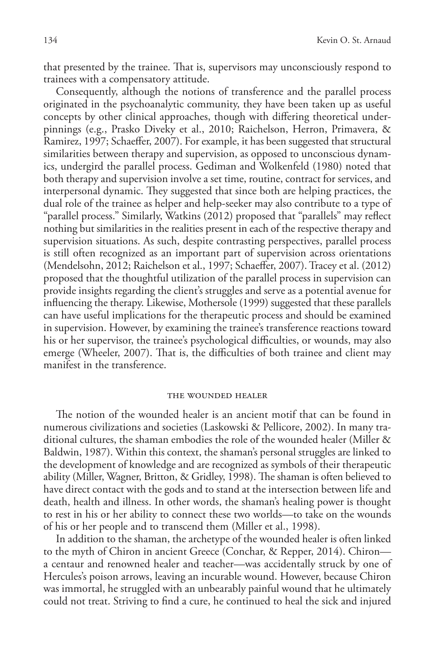that presented by the trainee. That is, supervisors may unconsciously respond to trainees with a compensatory attitude.

Consequently, although the notions of transference and the parallel process originated in the psychoanalytic community, they have been taken up as useful concepts by other clinical approaches, though with differing theoretical underpinnings (e.g., Prasko Diveky et al., 2010; Raichelson, Herron, Primavera, & Ramirez, 1997; Schaeffer, 2007). For example, it has been suggested that structural similarities between therapy and supervision, as opposed to unconscious dynamics, undergird the parallel process. Gediman and Wolkenfeld (1980) noted that both therapy and supervision involve a set time, routine, contract for services, and interpersonal dynamic. They suggested that since both are helping practices, the dual role of the trainee as helper and help-seeker may also contribute to a type of "parallel process." Similarly, Watkins (2012) proposed that "parallels" may reflect nothing but similarities in the realities present in each of the respective therapy and supervision situations. As such, despite contrasting perspectives, parallel process is still often recognized as an important part of supervision across orientations (Mendelsohn, 2012; Raichelson et al., 1997; Schaeffer, 2007). Tracey et al. (2012) proposed that the thoughtful utilization of the parallel process in supervision can provide insights regarding the client's struggles and serve as a potential avenue for influencing the therapy. Likewise, Mothersole (1999) suggested that these parallels can have useful implications for the therapeutic process and should be examined in supervision. However, by examining the trainee's transference reactions toward his or her supervisor, the trainee's psychological difficulties, or wounds, may also emerge (Wheeler, 2007). That is, the difficulties of both trainee and client may manifest in the transference.

#### the wounded healer

The notion of the wounded healer is an ancient motif that can be found in numerous civilizations and societies (Laskowski & Pellicore, 2002). In many traditional cultures, the shaman embodies the role of the wounded healer (Miller & Baldwin, 1987). Within this context, the shaman's personal struggles are linked to the development of knowledge and are recognized as symbols of their therapeutic ability (Miller, Wagner, Britton, & Gridley, 1998). The shaman is often believed to have direct contact with the gods and to stand at the intersection between life and death, health and illness. In other words, the shaman's healing power is thought to rest in his or her ability to connect these two worlds—to take on the wounds of his or her people and to transcend them (Miller et al., 1998).

In addition to the shaman, the archetype of the wounded healer is often linked to the myth of Chiron in ancient Greece (Conchar, & Repper, 2014). Chiron a centaur and renowned healer and teacher—was accidentally struck by one of Hercules's poison arrows, leaving an incurable wound. However, because Chiron was immortal, he struggled with an unbearably painful wound that he ultimately could not treat. Striving to find a cure, he continued to heal the sick and injured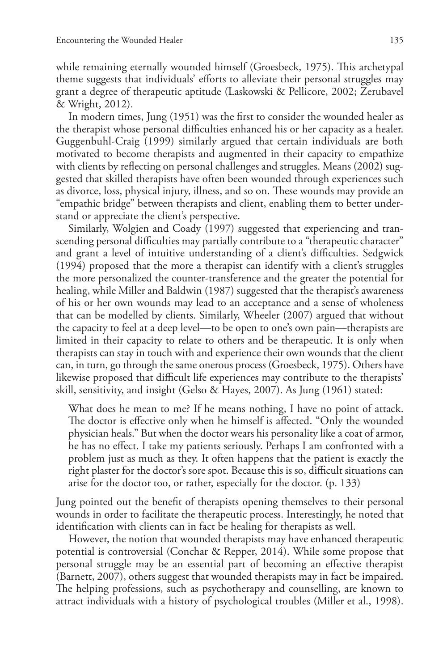while remaining eternally wounded himself (Groesbeck, 1975). This archetypal theme suggests that individuals' efforts to alleviate their personal struggles may grant a degree of therapeutic aptitude (Laskowski & Pellicore, 2002; Zerubavel & Wright, 2012).

In modern times, Jung (1951) was the first to consider the wounded healer as the therapist whose personal difficulties enhanced his or her capacity as a healer. Guggenbuhl-Craig (1999) similarly argued that certain individuals are both motivated to become therapists and augmented in their capacity to empathize with clients by reflecting on personal challenges and struggles. Means (2002) suggested that skilled therapists have often been wounded through experiences such as divorce, loss, physical injury, illness, and so on. These wounds may provide an "empathic bridge" between therapists and client, enabling them to better understand or appreciate the client's perspective.

Similarly, Wolgien and Coady (1997) suggested that experiencing and transcending personal difficulties may partially contribute to a "therapeutic character" and grant a level of intuitive understanding of a client's difficulties. Sedgwick (1994) proposed that the more a therapist can identify with a client's struggles the more personalized the counter-transference and the greater the potential for healing, while Miller and Baldwin (1987) suggested that the therapist's awareness of his or her own wounds may lead to an acceptance and a sense of wholeness that can be modelled by clients. Similarly, Wheeler (2007) argued that without the capacity to feel at a deep level—to be open to one's own pain—therapists are limited in their capacity to relate to others and be therapeutic. It is only when therapists can stay in touch with and experience their own wounds that the client can, in turn, go through the same onerous process (Groesbeck, 1975). Others have likewise proposed that difficult life experiences may contribute to the therapists' skill, sensitivity, and insight (Gelso & Hayes, 2007). As Jung (1961) stated:

What does he mean to me? If he means nothing, I have no point of attack. The doctor is effective only when he himself is affected. "Only the wounded physician heals." But when the doctor wears his personality like a coat of armor, he has no effect. I take my patients seriously. Perhaps I am confronted with a problem just as much as they. It often happens that the patient is exactly the right plaster for the doctor's sore spot. Because this is so, difficult situations can arise for the doctor too, or rather, especially for the doctor. (p. 133)

Jung pointed out the benefit of therapists opening themselves to their personal wounds in order to facilitate the therapeutic process. Interestingly, he noted that identification with clients can in fact be healing for therapists as well.

However, the notion that wounded therapists may have enhanced therapeutic potential is controversial (Conchar & Repper, 2014). While some propose that personal struggle may be an essential part of becoming an effective therapist (Barnett, 2007), others suggest that wounded therapists may in fact be impaired. The helping professions, such as psychotherapy and counselling, are known to attract individuals with a history of psychological troubles (Miller et al., 1998).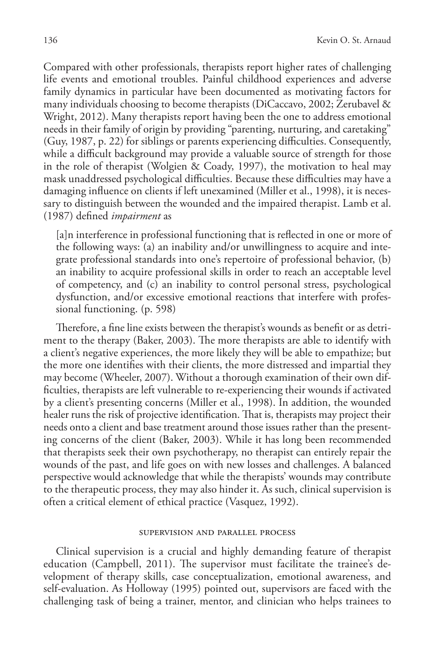Compared with other professionals, therapists report higher rates of challenging life events and emotional troubles. Painful childhood experiences and adverse family dynamics in particular have been documented as motivating factors for many individuals choosing to become therapists (DiCaccavo, 2002; Zerubavel & Wright, 2012). Many therapists report having been the one to address emotional needs in their family of origin by providing "parenting, nurturing, and caretaking" (Guy, 1987, p. 22) for siblings or parents experiencing difficulties. Consequently, while a difficult background may provide a valuable source of strength for those in the role of therapist (Wolgien & Coady, 1997), the motivation to heal may mask unaddressed psychological difficulties. Because these difficulties may have a damaging influence on clients if left unexamined (Miller et al., 1998), it is necessary to distinguish between the wounded and the impaired therapist. Lamb et al. (1987) defined *impairment* as

[a]n interference in professional functioning that is reflected in one or more of the following ways: (a) an inability and/or unwillingness to acquire and integrate professional standards into one's repertoire of professional behavior, (b) an inability to acquire professional skills in order to reach an acceptable level of competency, and (c) an inability to control personal stress, psychological dysfunction, and/or excessive emotional reactions that interfere with professional functioning. (p. 598)

Therefore, a fine line exists between the therapist's wounds as benefit or as detriment to the therapy (Baker, 2003). The more therapists are able to identify with a client's negative experiences, the more likely they will be able to empathize; but the more one identifies with their clients, the more distressed and impartial they may become (Wheeler, 2007). Without a thorough examination of their own difficulties, therapists are left vulnerable to re-experiencing their wounds if activated by a client's presenting concerns (Miller et al., 1998). In addition, the wounded healer runs the risk of projective identification. That is, therapists may project their needs onto a client and base treatment around those issues rather than the presenting concerns of the client (Baker, 2003). While it has long been recommended that therapists seek their own psychotherapy, no therapist can entirely repair the wounds of the past, and life goes on with new losses and challenges. A balanced perspective would acknowledge that while the therapists' wounds may contribute to the therapeutic process, they may also hinder it. As such, clinical supervision is often a critical element of ethical practice (Vasquez, 1992).

### supervision and parallel process

Clinical supervision is a crucial and highly demanding feature of therapist education (Campbell, 2011). The supervisor must facilitate the trainee's development of therapy skills, case conceptualization, emotional awareness, and self-evaluation. As Holloway (1995) pointed out, supervisors are faced with the challenging task of being a trainer, mentor, and clinician who helps trainees to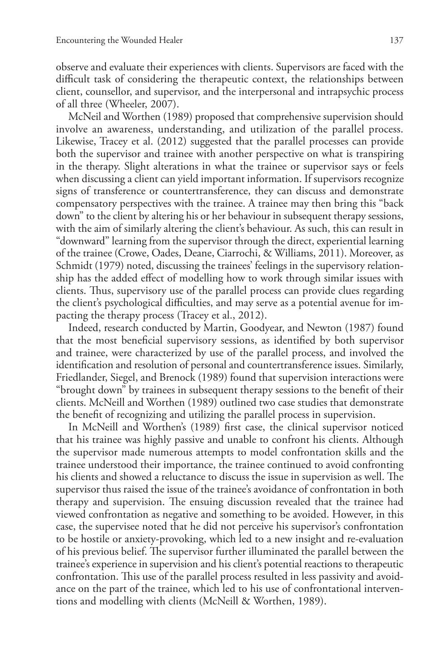observe and evaluate their experiences with clients. Supervisors are faced with the difficult task of considering the therapeutic context, the relationships between client, counsellor, and supervisor, and the interpersonal and intrapsychic process of all three (Wheeler, 2007).

McNeil and Worthen (1989) proposed that comprehensive supervision should involve an awareness, understanding, and utilization of the parallel process. Likewise, Tracey et al. (2012) suggested that the parallel processes can provide both the supervisor and trainee with another perspective on what is transpiring in the therapy. Slight alterations in what the trainee or supervisor says or feels when discussing a client can yield important information. If supervisors recognize signs of transference or countertransference, they can discuss and demonstrate compensatory perspectives with the trainee. A trainee may then bring this "back down" to the client by altering his or her behaviour in subsequent therapy sessions, with the aim of similarly altering the client's behaviour. As such, this can result in "downward" learning from the supervisor through the direct, experiential learning of the trainee (Crowe, Oades, Deane, Ciarrochi, & Williams, 2011). Moreover, as Schmidt (1979) noted, discussing the trainees' feelings in the supervisory relationship has the added effect of modelling how to work through similar issues with clients. Thus, supervisory use of the parallel process can provide clues regarding the client's psychological difficulties, and may serve as a potential avenue for impacting the therapy process (Tracey et al., 2012).

Indeed, research conducted by Martin, Goodyear, and Newton (1987) found that the most beneficial supervisory sessions, as identified by both supervisor and trainee, were characterized by use of the parallel process, and involved the identification and resolution of personal and countertransference issues. Similarly, Friedlander, Siegel, and Brenock (1989) found that supervision interactions were "brought down" by trainees in subsequent therapy sessions to the benefit of their clients. McNeill and Worthen (1989) outlined two case studies that demonstrate the benefit of recognizing and utilizing the parallel process in supervision.

In McNeill and Worthen's (1989) first case, the clinical supervisor noticed that his trainee was highly passive and unable to confront his clients. Although the supervisor made numerous attempts to model confrontation skills and the trainee understood their importance, the trainee continued to avoid confronting his clients and showed a reluctance to discuss the issue in supervision as well. The supervisor thus raised the issue of the trainee's avoidance of confrontation in both therapy and supervision. The ensuing discussion revealed that the trainee had viewed confrontation as negative and something to be avoided. However, in this case, the supervisee noted that he did not perceive his supervisor's confrontation to be hostile or anxiety-provoking, which led to a new insight and re-evaluation of his previous belief. The supervisor further illuminated the parallel between the trainee's experience in supervision and his client's potential reactions to therapeutic confrontation. This use of the parallel process resulted in less passivity and avoidance on the part of the trainee, which led to his use of confrontational interventions and modelling with clients (McNeill & Worthen, 1989).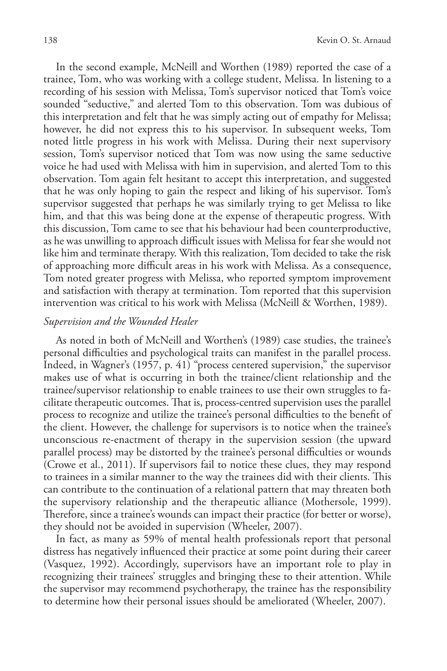In the second example, McNeill and Worthen (1989) reported the case of a trainee, Tom, who was working with a college student, Melissa. In listening to a recording of his session with Melissa, Tom's supervisor noticed that Tom's voice sounded "seductive," and alerted Tom to this observation. Tom was dubious of this interpretation and felt that he was simply acting out of empathy for Melissa; however, he did not express this to his supervisor. In subsequent weeks, Tom noted little progress in his work with Melissa. During their next supervisory session, Tom's supervisor noticed that Tom was now using the same seductive voice he had used with Melissa with him in supervision, and alerted Tom to this observation. Tom again felt hesitant to accept this interpretation, and suggested that he was only hoping to gain the respect and liking of his supervisor. Tom's supervisor suggested that perhaps he was similarly trying to get Melissa to like him, and that this was being done at the expense of therapeutic progress. With this discussion, Tom came to see that his behaviour had been counterproductive, as he was unwilling to approach difficult issues with Melissa for fear she would not like him and terminate therapy. With this realization, Tom decided to take the risk of approaching more difficult areas in his work with Melissa. As a consequence, Tom noted greater progress with Melissa, who reported symptom improvement and satisfaction with therapy at termination. Tom reported that this supervision intervention was critical to his work with Melissa (McNeill & Worthen, 1989).

## *Supervision and the Wounded Healer*

As noted in both of McNeill and Worthen's (1989) case studies, the trainee's personal difficulties and psychological traits can manifest in the parallel process. Indeed, in Wagner's (1957, p. 41) "process centered supervision," the supervisor makes use of what is occurring in both the trainee/client relationship and the trainee/supervisor relationship to enable trainees to use their own struggles to facilitate therapeutic outcomes. That is, process-centred supervision uses the parallel process to recognize and utilize the trainee's personal difficulties to the benefit of the client. However, the challenge for supervisors is to notice when the trainee's unconscious re-enactment of therapy in the supervision session (the upward parallel process) may be distorted by the trainee's personal difficulties or wounds (Crowe et al., 2011). If supervisors fail to notice these clues, they may respond to trainees in a similar manner to the way the trainees did with their clients. This can contribute to the continuation of a relational pattern that may threaten both the supervisory relationship and the therapeutic alliance (Mothersole, 1999). Therefore, since a trainee's wounds can impact their practice (for better or worse), they should not be avoided in supervision (Wheeler, 2007).

In fact, as many as 59% of mental health professionals report that personal distress has negatively influenced their practice at some point during their career (Vasquez, 1992). Accordingly, supervisors have an important role to play in recognizing their trainees' struggles and bringing these to their attention. While the supervisor may recommend psychotherapy, the trainee has the responsibility to determine how their personal issues should be ameliorated (Wheeler, 2007).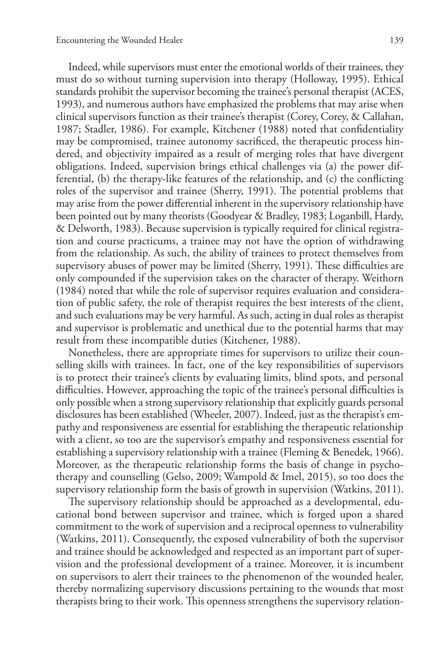Indeed, while supervisors must enter the emotional worlds of their trainees, they must do so without turning supervision into therapy (Holloway, 1995). Ethical standards prohibit the supervisor becoming the trainee's personal therapist (ACES, 1993), and numerous authors have emphasized the problems that may arise when clinical supervisors function as their trainee's therapist (Corey, Corey, & Callahan, 1987; Stadler, 1986). For example, Kitchener (1988) noted that confidentiality may be compromised, trainee autonomy sacrificed, the therapeutic process hindered, and objectivity impaired as a result of merging roles that have divergent obligations. Indeed, supervision brings ethical challenges via (a) the power differential, (b) the therapy-like features of the relationship, and (c) the conflicting roles of the supervisor and trainee (Sherry, 1991). The potential problems that may arise from the power differential inherent in the supervisory relationship have been pointed out by many theorists (Goodyear & Bradley, 1983; Loganbill, Hardy, & Delworth, 1983). Because supervision is typically required for clinical registration and course practicums, a trainee may not have the option of withdrawing from the relationship. As such, the ability of trainees to protect themselves from supervisory abuses of power may be limited (Sherry, 1991). These difficulties are only compounded if the supervision takes on the character of therapy. Weithorn (1984) noted that while the role of supervisor requires evaluation and consideration of public safety, the role of therapist requires the best interests of the client, and such evaluations may be very harmful. As such, acting in dual roles as therapist and supervisor is problematic and unethical due to the potential harms that may result from these incompatible duties (Kitchener, 1988).

Nonetheless, there are appropriate times for supervisors to utilize their counselling skills with trainees. In fact, one of the key responsibilities of supervisors is to protect their trainee's clients by evaluating limits, blind spots, and personal difficulties. However, approaching the topic of the trainee's personal difficulties is only possible when a strong supervisory relationship that explicitly guards personal disclosures has been established (Wheeler, 2007). Indeed, just as the therapist's empathy and responsiveness are essential for establishing the therapeutic relationship with a client, so too are the supervisor's empathy and responsiveness essential for establishing a supervisory relationship with a trainee (Fleming & Benedek, 1966). Moreover, as the therapeutic relationship forms the basis of change in psychotherapy and counselling (Gelso, 2009; Wampold & Imel, 2015), so too does the supervisory relationship form the basis of growth in supervision (Watkins, 2011).

The supervisory relationship should be approached as a developmental, educational bond between supervisor and trainee, which is forged upon a shared commitment to the work of supervision and a reciprocal openness to vulnerability (Watkins, 2011). Consequently, the exposed vulnerability of both the supervisor and trainee should be acknowledged and respected as an important part of supervision and the professional development of a trainee. Moreover, it is incumbent on supervisors to alert their trainees to the phenomenon of the wounded healer, thereby normalizing supervisory discussions pertaining to the wounds that most therapists bring to their work. This openness strengthens the supervisory relation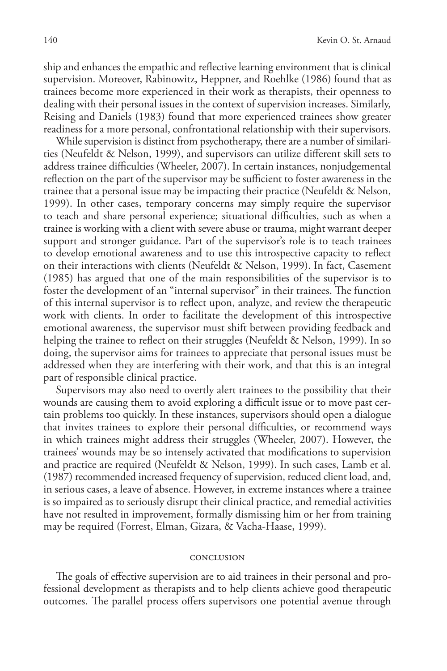ship and enhances the empathic and reflective learning environment that is clinical supervision. Moreover, Rabinowitz, Heppner, and Roehlke (1986) found that as trainees become more experienced in their work as therapists, their openness to dealing with their personal issues in the context of supervision increases. Similarly, Reising and Daniels (1983) found that more experienced trainees show greater readiness for a more personal, confrontational relationship with their supervisors.

While supervision is distinct from psychotherapy, there are a number of similarities (Neufeldt & Nelson, 1999), and supervisors can utilize different skill sets to address trainee difficulties (Wheeler, 2007). In certain instances, nonjudgemental reflection on the part of the supervisor may be sufficient to foster awareness in the trainee that a personal issue may be impacting their practice (Neufeldt & Nelson, 1999). In other cases, temporary concerns may simply require the supervisor to teach and share personal experience; situational difficulties, such as when a trainee is working with a client with severe abuse or trauma, might warrant deeper support and stronger guidance. Part of the supervisor's role is to teach trainees to develop emotional awareness and to use this introspective capacity to reflect on their interactions with clients (Neufeldt & Nelson, 1999). In fact, Casement (1985) has argued that one of the main responsibilities of the supervisor is to foster the development of an "internal supervisor" in their trainees. The function of this internal supervisor is to reflect upon, analyze, and review the therapeutic work with clients. In order to facilitate the development of this introspective emotional awareness, the supervisor must shift between providing feedback and helping the trainee to reflect on their struggles (Neufeldt & Nelson, 1999). In so doing, the supervisor aims for trainees to appreciate that personal issues must be addressed when they are interfering with their work, and that this is an integral part of responsible clinical practice.

Supervisors may also need to overtly alert trainees to the possibility that their wounds are causing them to avoid exploring a difficult issue or to move past certain problems too quickly. In these instances, supervisors should open a dialogue that invites trainees to explore their personal difficulties, or recommend ways in which trainees might address their struggles (Wheeler, 2007). However, the trainees' wounds may be so intensely activated that modifications to supervision and practice are required (Neufeldt & Nelson, 1999). In such cases, Lamb et al. (1987) recommended increased frequency of supervision, reduced client load, and, in serious cases, a leave of absence. However, in extreme instances where a trainee is so impaired as to seriously disrupt their clinical practice, and remedial activities have not resulted in improvement, formally dismissing him or her from training may be required (Forrest, Elman, Gizara, & Vacha-Haase, 1999).

### conclusion

The goals of effective supervision are to aid trainees in their personal and professional development as therapists and to help clients achieve good therapeutic outcomes. The parallel process offers supervisors one potential avenue through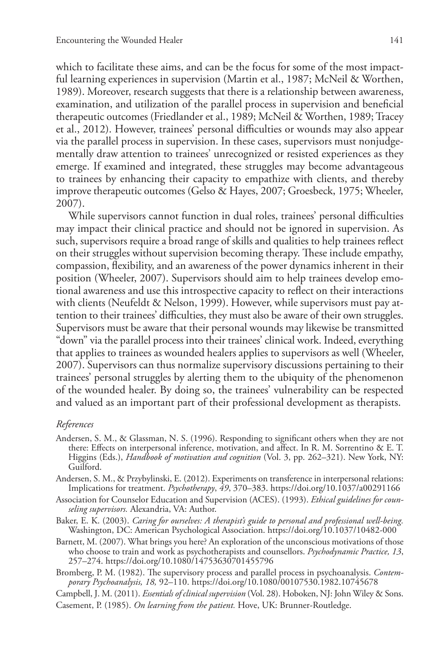which to facilitate these aims, and can be the focus for some of the most impactful learning experiences in supervision (Martin et al., 1987; McNeil & Worthen, 1989). Moreover, research suggests that there is a relationship between awareness, examination, and utilization of the parallel process in supervision and beneficial therapeutic outcomes (Friedlander et al., 1989; McNeil & Worthen, 1989; Tracey et al., 2012). However, trainees' personal difficulties or wounds may also appear via the parallel process in supervision. In these cases, supervisors must nonjudgementally draw attention to trainees' unrecognized or resisted experiences as they emerge. If examined and integrated, these struggles may become advantageous to trainees by enhancing their capacity to empathize with clients, and thereby improve therapeutic outcomes (Gelso & Hayes, 2007; Groesbeck, 1975; Wheeler, 2007).

While supervisors cannot function in dual roles, trainees' personal difficulties may impact their clinical practice and should not be ignored in supervision. As such, supervisors require a broad range of skills and qualities to help trainees reflect on their struggles without supervision becoming therapy. These include empathy, compassion, flexibility, and an awareness of the power dynamics inherent in their position (Wheeler, 2007). Supervisors should aim to help trainees develop emotional awareness and use this introspective capacity to reflect on their interactions with clients (Neufeldt & Nelson, 1999). However, while supervisors must pay attention to their trainees' difficulties, they must also be aware of their own struggles. Supervisors must be aware that their personal wounds may likewise be transmitted "down" via the parallel process into their trainees' clinical work. Indeed, everything that applies to trainees as wounded healers applies to supervisors as well (Wheeler, 2007). Supervisors can thus normalize supervisory discussions pertaining to their trainees' personal struggles by alerting them to the ubiquity of the phenomenon of the wounded healer. By doing so, the trainees' vulnerability can be respected and valued as an important part of their professional development as therapists.

### *References*

Andersen, S. M., & Glassman, N. S. (1996). Responding to significant others when they are not there: Effects on interpersonal inference, motivation, and affect. In R. M. Sorrentino & E. T. Higgins (Eds.), *Handbook of motivation and cognition* (Vol. 3, pp. 262–321). New York, NY: Guilford.

Andersen, S. M., & Przybylinski, E. (2012). Experiments on transference in interpersonal relations: Implications for treatment. *Psychotherapy*, *49*, 370–383. https://doi.org/10.1037/a00291166

Association for Counselor Education and Supervision (ACES). (1993). *Ethical guidelines for counseling supervisors.* Alexandria, VA: Author.

- Baker, E. K. (2003). *Caring for ourselves: A therapist's guide to personal and professional well-being.* Washington, DC: American Psychological Association. https://doi.org/10.1037/10482-000
- Barnett, M. (2007). What brings you here? An exploration of the unconscious motivations of those who choose to train and work as psychotherapists and counsellors. *Psychodynamic Practice, 13*, 257–274. https://doi.org/10.1080/14753630701455796
- Bromberg, P. M. (1982). The supervisory process and parallel process in psychoanalysis. *Contemporary Psychoanalysis, 18,* 92–110. https://doi.org/10.1080/00107530.1982.10745678

Campbell, J. M. (2011). *Essentials of clinical supervision* (Vol. 28). Hoboken, NJ: John Wiley & Sons.

Casement, P. (1985). *On learning from the patient.* Hove, UK: Brunner-Routledge.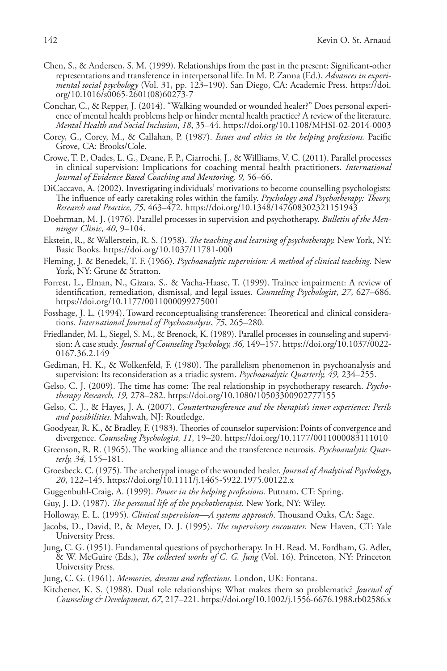- Chen, S., & Andersen, S. M. (1999). Relationships from the past in the present: Significant-other representations and transference in interpersonal life. In M. P. Zanna (Ed.), *Advances in experimental social psychology* (Vol. 31, pp. 123–190). San Diego, CA: Academic Press. https://doi. org/10.1016/s0065-2601(08)60273-7
- Conchar, C., & Repper, J. (2014). "Walking wounded or wounded healer?" Does personal experience of mental health problems help or hinder mental health practice? A review of the literature. *Mental Health and Social Inclusion*, *18*, 35–44. https://doi.org/10.1108/MHSI-02-2014-0003
- Corey, G., Corey, M., & Callahan, P. (1987). *Issues and ethics in the helping professions.* Pacific Grove, CA: Brooks/Cole.
- Crowe, T. P., Oades, L. G., Deane, F. P., Ciarrochi, J., & Willliams, V. C. (2011). Parallel processes in clinical supervision: Implications for coaching mental health practitioners. *International Journal of Evidence Based Coaching and Mentoring, 9,* 56–66.
- DiCaccavo, A. (2002). Investigating individuals' motivations to become counselling psychologists: The influence of early caretaking roles within the family. *Psychology and Psychotherapy: Theory, Research and Practice, 75,* 463–472. https://doi.org/10.1348/147608302321151943
- Doehrman, M. J. (1976). Parallel processes in supervision and psychotherapy. *Bulletin of the Menninger Clinic, 40,* 9–104.
- Ekstein, R., & Wallerstein, R. S. (1958). *The teaching and learning of psychotherapy.* New York, NY: Basic Books. https://doi.org/10.1037/11781-000
- Fleming, J. & Benedek, T. F. (1966). *Psychoanalytic supervision: A method of clinical teaching.* New York, NY: Grune & Stratton.
- Forrest, L., Elman, N., Gizara, S., & Vacha-Haase, T. (1999). Trainee impairment: A review of identification, remediation, dismissal, and legal issues. *Counseling Psychologist*, *27*, 627–686. https://doi.org/10.1177/0011000099275001
- Fosshage, J. L. (1994). Toward reconceptualising transference: Theoretical and clinical considerations. *International Journal of Psychoanalysis*, *75*, 265–280.
- Friedlander, M. L, Siegel, S. M., & Brenock, K. (1989). Parallel processes in counseling and supervision: A case study. *Journal of Counseling Psychology, 36,* 149–157. https://doi.org/10.1037/0022- 0167.36.2.149
- Gediman, H. K., & Wolkenfeld, F. (1980). The parallelism phenomenon in psychoanalysis and supervision: Its reconsideration as a triadic system. *Psychoanalytic Quarterly, 49,* 234–255.
- Gelso, C. J. (2009). The time has come: The real relationship in psychotherapy research. *Psychotherapy Research, 19,* 278–282. https://doi.org/10.1080/10503300902777155
- Gelso, C. J., & Hayes, J. A. (2007). *Countertransference and the therapist's inner experience: Perils and possibilities*. Mahwah, NJ: Routledge.
- Goodyear, R. K., & Bradley, F. (1983). Theories of counselor supervision: Points of convergence and divergence. *Counseling Psychologist, 11,* 19–20. https://doi.org/10.1177/0011000083111010
- Greenson, R. R. (1965). The working alliance and the transference neurosis. *Psychoanalytic Quarterly, 34,* 155–181.
- Groesbeck, C. (1975). The archetypal image of the wounded healer. *Journal of Analytical Psychology*, *20*, 122–145. https://doi.org/10.1111/j.1465-5922.1975.00122.x
- Guggenbuhl-Craig, A. (1999). *Power in the helping professions.* Putnam, CT: Spring.
- Guy, J. D. (1987). *The personal life of the psychotherapist.* New York, NY: Wiley.
- Holloway, E. L. (1995). *Clinical supervision—A systems approach*. Thousand Oaks, CA: Sage.
- Jacobs, D., David, P., & Meyer, D. J. (1995). *The supervisory encounter.* New Haven, CT: Yale University Press.
- Jung, C. G. (1951). Fundamental questions of psychotherapy. In H. Read, M. Fordham, G. Adler, & W. McGuire (Eds.), *The collected works of C. G. Jung* (Vol. 16). Princeton, NY: Princeton University Press.
- Jung, C. G. (1961). *Memories, dreams and reflections.* London, UK: Fontana.
- Kitchener, K. S. (1988). Dual role relationships: What makes them so problematic? *Journal of Counseling & Development*, *67*, 217–221. https://doi.org/10.1002/j.1556-6676.1988.tb02586.x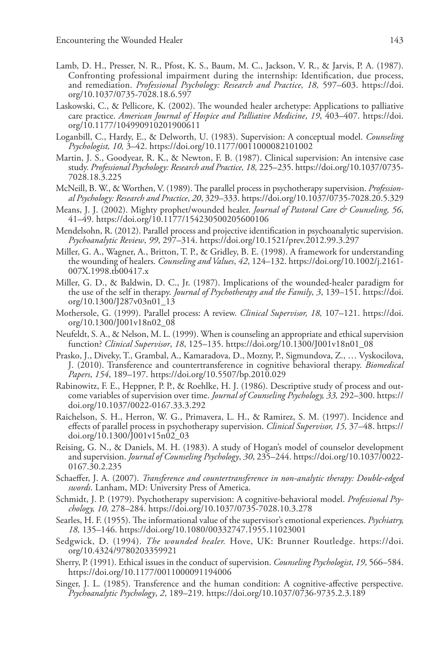- Lamb, D. H., Presser, N. R., Pfost, K. S., Baum, M. C., Jackson, V. R., & Jarvis, P. A. (1987). Confronting professional impairment during the internship: Identification, due process, and remediation. *Professional Psychology: Research and Practice, 18,* 597–603. https://doi. org/10.1037/0735-7028.18.6.597
- Laskowski, C., & Pellicore, K. (2002). The wounded healer archetype: Applications to palliative care practice. *American Journal of Hospice and Palliative Medicine*, *19*, 403–407. https://doi. org/10.1177/104990910201900611
- Loganbill, C., Hardy, E., & Delworth, U. (1983). Supervision: A conceptual model. *Counseling Psychologist, 10,* 3–42. https://doi.org/10.1177/0011000082101002
- Martin, J. S., Goodyear, R. K., & Newton, F. B. (1987). Clinical supervision: An intensive case study. *Professional Psychology: Research and Practice, 18,* 225–235. https://doi.org/10.1037/0735- 7028.18.3.225
- McNeill, B. W., & Worthen, V. (1989). The parallel process in psychotherapy supervision. *Professional Psychology: Research and Practice*, *20*, 329–333. https://doi.org/10.1037/0735-7028.20.5.329
- Means, J. J. (2002). Mighty prophet/wounded healer. *Journal of Pastoral Care & Counseling*, 56, 41–49. https://doi.org/10.1177/154230500205600106
- Mendelsohn, R. (2012). Parallel process and projective identification in psychoanalytic supervision. *Psychoanalytic Review*, *99*, 297–314. https://doi.org/10.1521/prev.2012.99.3.297
- Miller, G. A., Wagner, A., Britton, T. P., & Gridley, B. E. (1998). A framework for understanding the wounding of healers. *Counseling and Values*, *42*, 124–132. https://doi.org/10.1002/j.2161- 007X.1998.tb00417.x
- Miller, G. D., & Baldwin, D. C., Jr. (1987). Implications of the wounded-healer paradigm for the use of the self in therapy. *Journal of Psychotherapy and the Family*, *3*, 139–151. https://doi. org/10.1300/J287v03n01\_13
- Mothersole, G. (1999). Parallel process: A review. *Clinical Supervisor, 18,* 107–121. https://doi. org/10.1300/J001v18n02\_08
- Neufeldt, S. A., & Nelson, M. L. (1999). When is counseling an appropriate and ethical supervision function? *Clinical Supervisor*, *18*, 125–135. https://doi.org/10.1300/J001v18n01\_08
- Prasko, J., Diveky, T., Grambal, A., Kamaradova, D., Mozny, P., Sigmundova, Z., … Vyskocilova, J. (2010). Transference and countertransference in cognitive behavioral therapy. *Biomedical Papers*, *154*, 189–197. https://doi.org/10.5507/bp.2010.029
- Rabinowitz, F. E., Heppner, P. P., & Roehlke, H. J. (1986). Descriptive study of process and outcome variables of supervision over time. *Journal of Counseling Psychology, 33,* 292–300. https:// doi.org/10.1037/0022-0167.33.3.292
- Raichelson, S. H., Herron, W. G., Primavera, L. H., & Ramirez, S. M. (1997). Incidence and effects of parallel process in psychotherapy supervision. *Clinical Supervisor, 15,* 37–48. https:// doi.org/10.1300/J001v15n02\_03
- Reising, G. N., & Daniels, M. H. (1983). A study of Hogan's model of counselor development and supervision. *Journal of Counseling Psychology*, *30*, 235–244. https://doi.org/10.1037/0022- 0167.30.2.235
- Schaeffer, J. A. (2007). *Transference and countertransference in non-analytic therapy: Double-edged swords*. Lanham, MD: University Press of America.
- Schmidt, J. P. (1979). Psychotherapy supervision: A cognitive-behavioral model. *Professional Psychology, 10,* 278–284. https://doi.org/10.1037/0735-7028.10.3.278
- Searles, H. F. (1955). The informational value of the supervisor's emotional experiences. *Psychiatry, 18,* 135–146. https://doi.org/10.1080/00332747.1955.11023001
- Sedgwick, D. (1994). *The wounded healer.* Hove, UK: Brunner Routledge. https://doi. org/10.4324/9780203359921
- Sherry, P. (1991). Ethical issues in the conduct of supervision. *Counseling Psychologist*, *19*, 566–584. https://doi.org/10.1177/0011000091194006
- Singer, J. L. (1985). Transference and the human condition: A cognitive-affective perspective. *Psychoanalytic Psychology*, *2*, 189–219. https://doi.org/10.1037/0736-9735.2.3.189